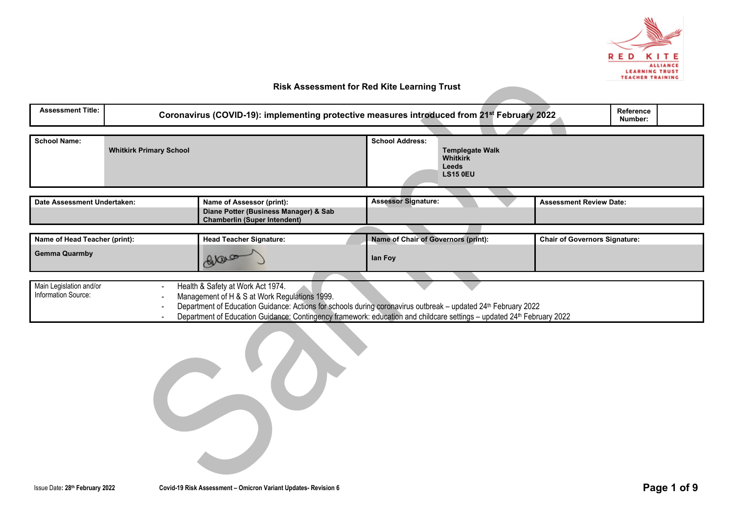

| <b>Assessment Title:</b>                                                                                                                                                                                                                                                                                                                                                         | Reference<br>Coronavirus (COVID-19): implementing protective measures introduced from 21 <sup>st</sup> February 2022<br>Number: |                                                                                                           |                                                                                                 |  |  |  |  |
|----------------------------------------------------------------------------------------------------------------------------------------------------------------------------------------------------------------------------------------------------------------------------------------------------------------------------------------------------------------------------------|---------------------------------------------------------------------------------------------------------------------------------|-----------------------------------------------------------------------------------------------------------|-------------------------------------------------------------------------------------------------|--|--|--|--|
| <b>School Name:</b><br><b>Whitkirk Primary School</b>                                                                                                                                                                                                                                                                                                                            |                                                                                                                                 |                                                                                                           | <b>School Address:</b><br><b>Templegate Walk</b><br><b>Whitkirk</b><br>Leeds<br><b>LS15 0EU</b> |  |  |  |  |
| Date Assessment Undertaken:                                                                                                                                                                                                                                                                                                                                                      |                                                                                                                                 | Name of Assessor (print):<br>Diane Potter (Business Manager) & Sab<br><b>Chamberlin (Super Intendent)</b> | <b>Assessor Signature:</b><br><b>Assessment Review Date:</b>                                    |  |  |  |  |
| Name of Head Teacher (print):<br><b>Gemma Quarmby</b>                                                                                                                                                                                                                                                                                                                            |                                                                                                                                 | <b>Head Teacher Signature:</b><br>bal                                                                     | <b>Name of Chair of Governors (print):</b><br><b>Chair of Governors Signature:</b><br>lan Foy   |  |  |  |  |
| Main Legislation and/or<br>Health & Safety at Work Act 1974.<br>Information Source:<br>Management of H & S at Work Regulations 1999.<br>Department of Education Guidance: Actions for schools during coronavirus outbreak - updated 24th February 2022<br>Department of Education Guidance: Contingency framework: education and childcare settings - updated 24th February 2022 |                                                                                                                                 |                                                                                                           |                                                                                                 |  |  |  |  |

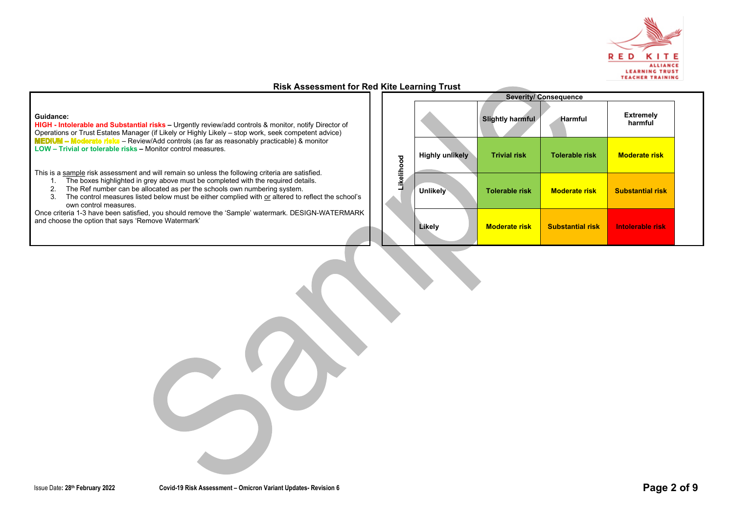

#### **Guidance:**

**HIGH - Intolerable and Substantial risks –** Urgently review/add controls & monitor, notify Director of Operations or Trust Estates Manager (if Likely or Highly Likely – stop work, seek competent advice) – Review/Add controls (as far as reasonably practicable) & monitor **LOW – Trivial or tolerable risks –** Monitor control measures.

This is a sample risk assessment and will remain so unless the following criteria are satisfied.

- 1. The boxes highlighted in grey above must be completed with the required details.
- 2. The Ref number can be allocated as per the schools own numbering system.
- 3. The control measures listed below must be either complied with or altered to reflect the school's own control measures.

Once criteria 1-3 have been satisfied, you should remove the 'Sample' watermark. DESIGN-WATERMARK and choose the option that says 'Remove Watermark'

|            | <b>Severity/Consequence</b> |                         |                         |                             |  |  |  |
|------------|-----------------------------|-------------------------|-------------------------|-----------------------------|--|--|--|
|            |                             | <b>Slightly harmful</b> | <b>Harmful</b>          | <b>Extremely</b><br>harmful |  |  |  |
| Likelihood | <b>Highly unlikely</b>      | <b>Trivial risk</b>     | <b>Tolerable risk</b>   | <b>Moderate risk</b>        |  |  |  |
|            | <b>Unlikely</b>             | <b>Tolerable risk</b>   | <b>Moderate risk</b>    | <b>Substantial risk</b>     |  |  |  |
|            | Likely                      | <b>Moderate risk</b>    | <b>Substantial risk</b> | Intolerable risk            |  |  |  |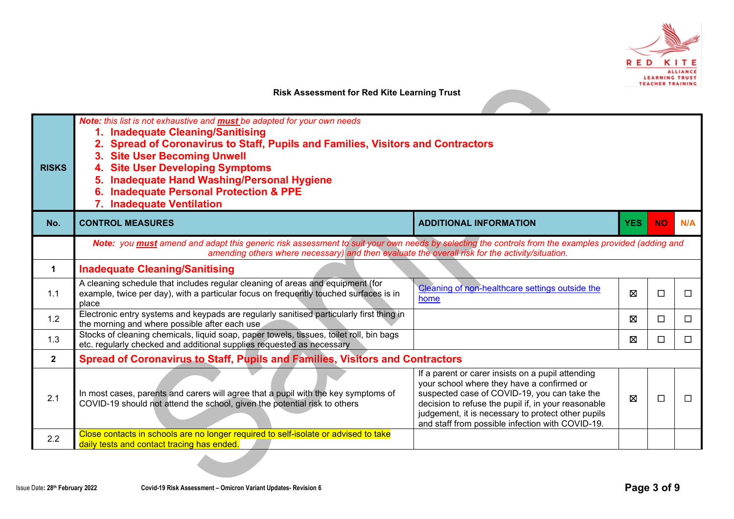

| <b>RISKS</b> | Note: this list is not exhaustive and <b>must</b> be adapted for your own needs<br>1. Inadequate Cleaning/Sanitising<br>Spread of Coronavirus to Staff, Pupils and Families, Visitors and Contractors<br><b>Site User Becoming Unwell</b><br><b>Site User Developing Symptoms</b><br><b>Inadequate Hand Washing/Personal Hygiene</b><br><b>Inadequate Personal Protection &amp; PPE</b><br>6.<br>7. Inadequate Ventilation |                                                                                                                                                                                                                                                                                                                  |            |           |        |  |  |  |
|--------------|----------------------------------------------------------------------------------------------------------------------------------------------------------------------------------------------------------------------------------------------------------------------------------------------------------------------------------------------------------------------------------------------------------------------------|------------------------------------------------------------------------------------------------------------------------------------------------------------------------------------------------------------------------------------------------------------------------------------------------------------------|------------|-----------|--------|--|--|--|
| No.          | <b>CONTROL MEASURES</b>                                                                                                                                                                                                                                                                                                                                                                                                    | <b>ADDITIONAL INFORMATION</b>                                                                                                                                                                                                                                                                                    | <b>YES</b> | <b>NO</b> | N/A    |  |  |  |
|              | Note: you must amend and adapt this generic risk assessment to suit your own needs by selecting the controls from the examples provided (adding and<br>amending others where necessary) and then evaluate the overall risk for the activity/situation.                                                                                                                                                                     |                                                                                                                                                                                                                                                                                                                  |            |           |        |  |  |  |
| $\mathbf 1$  | <b>Inadequate Cleaning/Sanitising</b>                                                                                                                                                                                                                                                                                                                                                                                      |                                                                                                                                                                                                                                                                                                                  |            |           |        |  |  |  |
| 1.1          | A cleaning schedule that includes regular cleaning of areas and equipment (for<br>example, twice per day), with a particular focus on frequently touched surfaces is in<br>place                                                                                                                                                                                                                                           | Cleaning of non-healthcare settings outside the<br>home                                                                                                                                                                                                                                                          | 区          | □         | $\Box$ |  |  |  |
| 1.2          | Electronic entry systems and keypads are regularly sanitised particularly first thing in<br>the morning and where possible after each use                                                                                                                                                                                                                                                                                  |                                                                                                                                                                                                                                                                                                                  | ⊠          | □         | П      |  |  |  |
| 1.3          | Stocks of cleaning chemicals, liquid soap, paper towels, tissues, toilet roll, bin bags<br>etc. regularly checked and additional supplies requested as necessary                                                                                                                                                                                                                                                           |                                                                                                                                                                                                                                                                                                                  | ⊠          | □         | П      |  |  |  |
| $\mathbf{2}$ | <b>Spread of Coronavirus to Staff, Pupils and Families, Visitors and Contractors</b>                                                                                                                                                                                                                                                                                                                                       |                                                                                                                                                                                                                                                                                                                  |            |           |        |  |  |  |
| 2.1          | In most cases, parents and carers will agree that a pupil with the key symptoms of<br>COVID-19 should not attend the school, given the potential risk to others                                                                                                                                                                                                                                                            | If a parent or carer insists on a pupil attending<br>your school where they have a confirmed or<br>suspected case of COVID-19, you can take the<br>decision to refuse the pupil if, in your reasonable<br>judgement, it is necessary to protect other pupils<br>and staff from possible infection with COVID-19. | ⊠          | П         | П      |  |  |  |
| 2.2          | Close contacts in schools are no longer required to self-isolate or advised to take<br>daily tests and contact tracing has ended.                                                                                                                                                                                                                                                                                          |                                                                                                                                                                                                                                                                                                                  |            |           |        |  |  |  |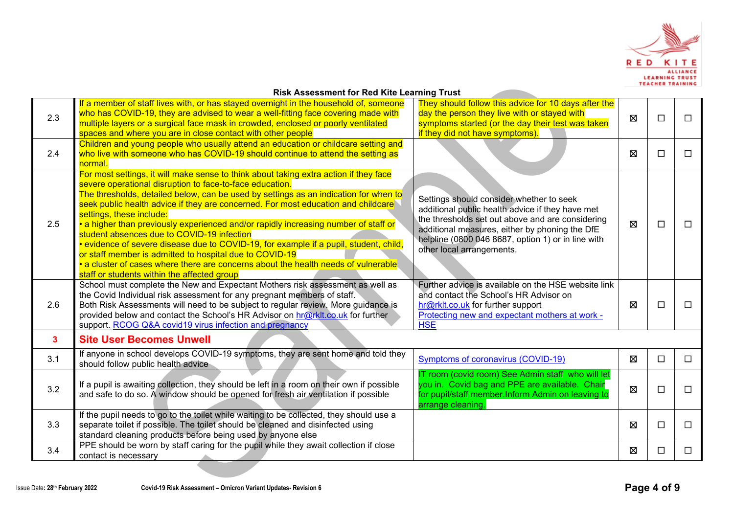

| <b>Risk Assessment for Red Kite Learning Trust</b> |
|----------------------------------------------------|
|----------------------------------------------------|

|     | <b>Risk Assessment for Red Kite Learning Trust</b>                                                                                                                                                                                                                                                                                                                                                                                                                                                                                                                                                                                                                                                                                                                                                                                                                                                                                                   |                                                                                                                                                                                                                                                                                                                                                                                        |             |        |        |  |  |  |
|-----|------------------------------------------------------------------------------------------------------------------------------------------------------------------------------------------------------------------------------------------------------------------------------------------------------------------------------------------------------------------------------------------------------------------------------------------------------------------------------------------------------------------------------------------------------------------------------------------------------------------------------------------------------------------------------------------------------------------------------------------------------------------------------------------------------------------------------------------------------------------------------------------------------------------------------------------------------|----------------------------------------------------------------------------------------------------------------------------------------------------------------------------------------------------------------------------------------------------------------------------------------------------------------------------------------------------------------------------------------|-------------|--------|--------|--|--|--|
| 2.3 | If a member of staff lives with, or has stayed overnight in the household of, someone<br>who has COVID-19, they are advised to wear a well-fitting face covering made with<br>multiple layers or a surgical face mask in crowded, enclosed or poorly ventilated<br>spaces and where you are in close contact with other people                                                                                                                                                                                                                                                                                                                                                                                                                                                                                                                                                                                                                       | They should follow this advice for 10 days after the<br>day the person they live with or stayed with<br>symptoms started (or the day their test was taken<br>if they did not have symptoms).                                                                                                                                                                                           | $\boxtimes$ | $\Box$ | □      |  |  |  |
| 2.4 | Children and young people who usually attend an education or childcare setting and<br>who live with someone who has COVID-19 should continue to attend the setting as<br>normal.                                                                                                                                                                                                                                                                                                                                                                                                                                                                                                                                                                                                                                                                                                                                                                     |                                                                                                                                                                                                                                                                                                                                                                                        | ⊠           | □      | □      |  |  |  |
| 2.5 | For most settings, it will make sense to think about taking extra action if they face<br>severe operational disruption to face-to-face education.<br>The thresholds, detailed below, can be used by settings as an indication for when to<br>seek public health advice if they are concerned. For most education and childcare<br>settings, these include:<br>• a higher than previously experienced and/or rapidly increasing number of staff or<br>student absences due to COVID-19 infection<br>• evidence of severe disease due to COVID-19, for example if a pupil, student, child,<br>or staff member is admitted to hospital due to COVID-19<br>• a cluster of cases where there are concerns about the health needs of vulnerable<br>staff or students within the affected group<br>School must complete the New and Expectant Mothers risk assessment as well as<br>the Covid Individual risk assessment for any pregnant members of staff. | Settings should consider whether to seek<br>additional public health advice if they have met<br>the thresholds set out above and are considering<br>additional measures, either by phoning the DfE<br>helpline (0800 046 8687, option 1) or in line with<br>other local arrangements.<br>Further advice is available on the HSE website link<br>and contact the School's HR Advisor on | $\boxtimes$ | □      | □      |  |  |  |
| 2.6 | Both Risk Assessments will need to be subject to regular review. More guidance is<br>provided below and contact the School's HR Advisor on hr@rklt.co.uk for further<br>support. RCOG Q&A covid19 virus infection and pregnancy                                                                                                                                                                                                                                                                                                                                                                                                                                                                                                                                                                                                                                                                                                                      | hr@rklt.co.uk for further support<br>Protecting new and expectant mothers at work -<br><b>HSE</b>                                                                                                                                                                                                                                                                                      | 図           | $\Box$ | □      |  |  |  |
| 3   | <b>Site User Becomes Unwell</b>                                                                                                                                                                                                                                                                                                                                                                                                                                                                                                                                                                                                                                                                                                                                                                                                                                                                                                                      |                                                                                                                                                                                                                                                                                                                                                                                        |             |        |        |  |  |  |
| 3.1 | If anyone in school develops COVID-19 symptoms, they are sent home and told they<br>should follow public health advice                                                                                                                                                                                                                                                                                                                                                                                                                                                                                                                                                                                                                                                                                                                                                                                                                               | Symptoms of coronavirus (COVID-19)                                                                                                                                                                                                                                                                                                                                                     | $\boxtimes$ | $\Box$ | $\Box$ |  |  |  |
| 3.2 | If a pupil is awaiting collection, they should be left in a room on their own if possible<br>and safe to do so. A window should be opened for fresh air ventilation if possible                                                                                                                                                                                                                                                                                                                                                                                                                                                                                                                                                                                                                                                                                                                                                                      | IT room (covid room) See Admin staff who will let<br>you in. Covid bag and PPE are available. Chair<br>for pupil/staff member.Inform Admin on leaving to<br>arrange cleaning.                                                                                                                                                                                                          | ⊠           | □      | □      |  |  |  |
| 3.3 | If the pupil needs to go to the toilet while waiting to be collected, they should use a<br>separate toilet if possible. The toilet should be cleaned and disinfected using<br>standard cleaning products before being used by anyone else                                                                                                                                                                                                                                                                                                                                                                                                                                                                                                                                                                                                                                                                                                            |                                                                                                                                                                                                                                                                                                                                                                                        | 図           | □      | □      |  |  |  |
| 3.4 | PPE should be worn by staff caring for the pupil while they await collection if close<br>contact is necessary                                                                                                                                                                                                                                                                                                                                                                                                                                                                                                                                                                                                                                                                                                                                                                                                                                        |                                                                                                                                                                                                                                                                                                                                                                                        | 図           | □      | □      |  |  |  |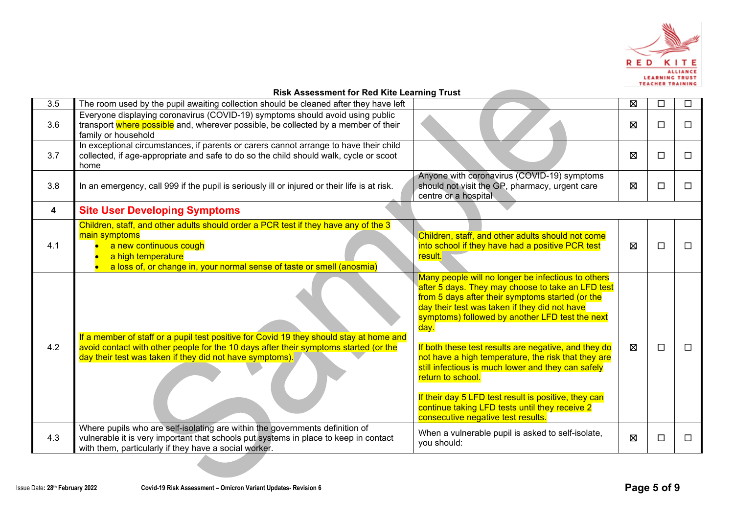

|     | <b>NISK ASSESSMENT TO REQ NILE LEATING</b> TTUSL                                                                                                                                                                                            |                                                                                                                                                                                                                                                                                                                                                                                                                                                                                                                                                                                                                   |   |   |        |
|-----|---------------------------------------------------------------------------------------------------------------------------------------------------------------------------------------------------------------------------------------------|-------------------------------------------------------------------------------------------------------------------------------------------------------------------------------------------------------------------------------------------------------------------------------------------------------------------------------------------------------------------------------------------------------------------------------------------------------------------------------------------------------------------------------------------------------------------------------------------------------------------|---|---|--------|
| 3.5 | The room used by the pupil awaiting collection should be cleaned after they have left                                                                                                                                                       |                                                                                                                                                                                                                                                                                                                                                                                                                                                                                                                                                                                                                   | 図 | □ | $\Box$ |
| 3.6 | Everyone displaying coronavirus (COVID-19) symptoms should avoid using public<br>transport where possible and, wherever possible, be collected by a member of their<br>family or household                                                  |                                                                                                                                                                                                                                                                                                                                                                                                                                                                                                                                                                                                                   | ⊠ | □ | $\Box$ |
| 3.7 | In exceptional circumstances, if parents or carers cannot arrange to have their child<br>collected, if age-appropriate and safe to do so the child should walk, cycle or scoot<br>home                                                      |                                                                                                                                                                                                                                                                                                                                                                                                                                                                                                                                                                                                                   | 図 | □ | $\Box$ |
| 3.8 | In an emergency, call 999 if the pupil is seriously ill or injured or their life is at risk.                                                                                                                                                | Anyone with coronavirus (COVID-19) symptoms<br>should not visit the GP, pharmacy, urgent care<br>centre or a hospital                                                                                                                                                                                                                                                                                                                                                                                                                                                                                             | 図 | □ | $\Box$ |
| 4   | <b>Site User Developing Symptoms</b>                                                                                                                                                                                                        |                                                                                                                                                                                                                                                                                                                                                                                                                                                                                                                                                                                                                   |   |   |        |
| 4.1 | Children, staff, and other adults should order a PCR test if they have any of the 3<br>main symptoms<br>a new continuous cough<br>a high temperature<br>a loss of, or change in, your normal sense of taste or smell (anosmia)              | Children, staff, and other adults should not come<br>into school if they have had a positive PCR test<br>result.                                                                                                                                                                                                                                                                                                                                                                                                                                                                                                  | ⊠ | □ | $\Box$ |
| 4.2 | If a member of staff or a pupil test positive for Covid 19 they should stay at home and<br>avoid contact with other people for the 10 days after their symptoms started (or the<br>day their test was taken if they did not have symptoms). | Many people will no longer be infectious to others<br>after 5 days. They may choose to take an LFD test<br>from 5 days after their symptoms started (or the<br>day their test was taken if they did not have<br>symptoms) followed by another LFD test the next<br>day.<br>If both these test results are negative, and they do<br>not have a high temperature, the risk that they are<br>still infectious is much lower and they can safely<br>return to school.<br>If their day 5 LFD test result is positive, they can<br>continue taking LFD tests until they receive 2<br>consecutive negative test results. | ⊠ | П | $\Box$ |
| 4.3 | Where pupils who are self-isolating are within the governments definition of<br>vulnerable it is very important that schools put systems in place to keep in contact<br>with them, particularly if they have a social worker.               | When a vulnerable pupil is asked to self-isolate,<br>you should:                                                                                                                                                                                                                                                                                                                                                                                                                                                                                                                                                  | ⊠ | □ | $\Box$ |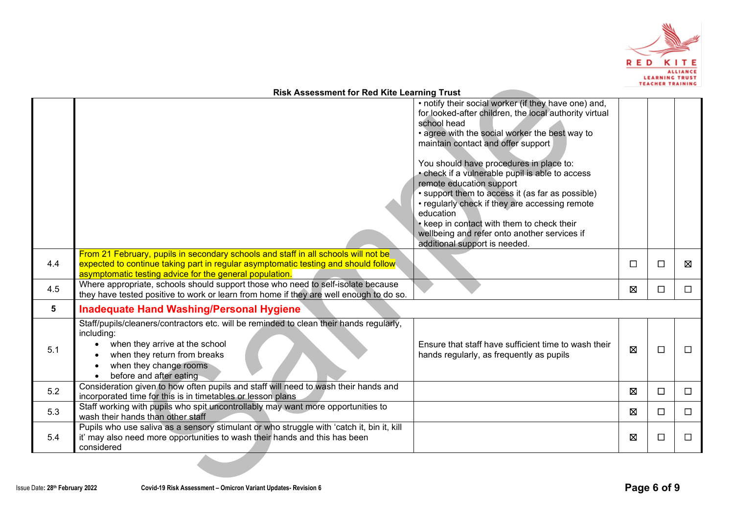

|     | <b>Risk Assessment for Red Kite Learning Trust</b>                                                                                                                                                                                                                                                                                                                                                                                                                                                                                                                                                |             |        |        |
|-----|---------------------------------------------------------------------------------------------------------------------------------------------------------------------------------------------------------------------------------------------------------------------------------------------------------------------------------------------------------------------------------------------------------------------------------------------------------------------------------------------------------------------------------------------------------------------------------------------------|-------------|--------|--------|
|     | • notify their social worker (if they have one) and,<br>for looked-after children, the local authority virtual<br>school head<br>• agree with the social worker the best way to<br>maintain contact and offer support<br>You should have procedures in place to:<br>• check if a vulnerable pupil is able to access<br>remote education support<br>• support them to access it (as far as possible)<br>• regularly check if they are accessing remote<br>education<br>• keep in contact with them to check their<br>wellbeing and refer onto another services if<br>additional support is needed. |             |        |        |
| 4.4 | From 21 February, pupils in secondary schools and staff in all schools will not be<br>expected to continue taking part in regular asymptomatic testing and should follow<br>asymptomatic testing advice for the general population.                                                                                                                                                                                                                                                                                                                                                               | $\Box$      | $\Box$ | ⊠      |
| 4.5 | Where appropriate, schools should support those who need to self-isolate because<br>they have tested positive to work or learn from home if they are well enough to do so.                                                                                                                                                                                                                                                                                                                                                                                                                        | $\boxtimes$ | □      | $\Box$ |
| 5   | <b>Inadequate Hand Washing/Personal Hygiene</b>                                                                                                                                                                                                                                                                                                                                                                                                                                                                                                                                                   |             |        |        |
| 5.1 | Staff/pupils/cleaners/contractors etc. will be reminded to clean their hands regularly,<br>including:<br>when they arrive at the school<br>Ensure that staff have sufficient time to wash their<br>when they return from breaks<br>hands regularly, as frequently as pupils<br>when they change rooms<br>before and after eating                                                                                                                                                                                                                                                                  | $\boxtimes$ | $\Box$ | $\Box$ |
| 5.2 | Consideration given to how often pupils and staff will need to wash their hands and<br>incorporated time for this is in timetables or lesson plans                                                                                                                                                                                                                                                                                                                                                                                                                                                | $\boxtimes$ | $\Box$ | $\Box$ |
| 5.3 | Staff working with pupils who spit uncontrollably may want more opportunities to<br>wash their hands than other staff                                                                                                                                                                                                                                                                                                                                                                                                                                                                             | $\boxtimes$ | $\Box$ | $\Box$ |
| 5.4 | Pupils who use saliva as a sensory stimulant or who struggle with 'catch it, bin it, kill<br>it' may also need more opportunities to wash their hands and this has been<br>considered                                                                                                                                                                                                                                                                                                                                                                                                             | ⊠           | □      | $\Box$ |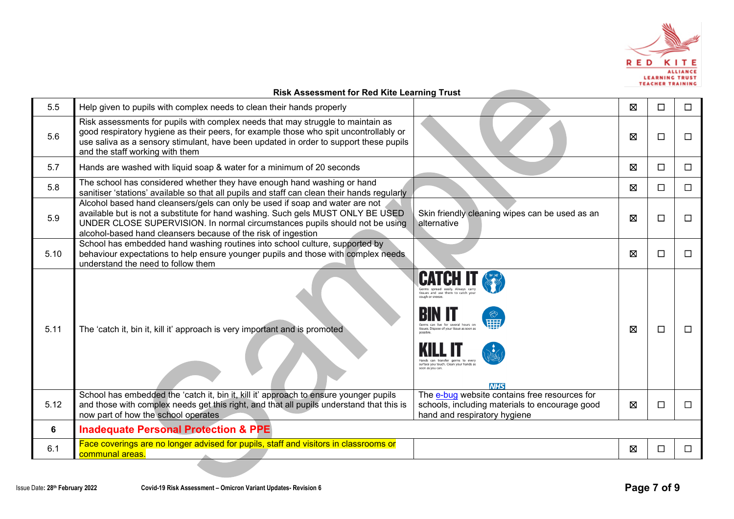

#### **Risk Assessment for Red Kite Learning Trust** 5.5 Help given to pupils with complex needs to clean their hands properly **Development of the interval of the interval of the interval of the interval of the interval of the interval of the interval of the interval of the** Risk assessments for pupils with complex needs that may struggle to maintain as good respiratory hygiene as their peers, for example those who spit uncontrollably or 5.6 ☒ ☐ ☐ use saliva as a sensory stimulant, have been updated in order to support these pupils and the staff working with them 5.7 Hands are washed with liquid soap & water for a minimum of 20 seconds  $\Box$  │ ◯ │ ◯ │ ◯ │ ◯ │ ◯ │ ◯ │ ◯ │ ◯ 5.8 The school has considered whether they have enough hand washing or hand sanitiser 'stations' available so that all pupils and staff can clean their hands regularly  $\Box$ Alcohol based hand cleansers/gels can only be used if soap and water are not available but is not a substitute for hand washing. Such gels MUST ONLY BE USED Skin friendly cleaning wipes can be used as an  $\Box$   $\Box$   $\Box$ 5.9 UNDER CLOSE SUPERVISION. In normal circumstances pupils should not be using alcohol-based hand cleansers because of the risk of ingestion School has embedded hand washing routines into school culture, supported by behaviour expectations to help ensure younger pupils and those with complex needs 5.10 ☒ ☐ ☐ understand the need to follow them 5.11 The 'catch it, bin it, kill it' approach is very important and is promoted  $\Box$ Hands can transfer germs to ever surface you touch. Clean your hands a **AILIC** School has embedded the 'catch it, bin it, kill it' approach to ensure younger pupils The [e-bug](https://e-bug.eu/eng_home.aspx?cc=eng&ss=1&t=Information%20about%20the%20Coronavirus) website contains free resources for and those with complex needs get this right, and that all pupils understand that this is 5.12 schools, including materials to encourage good  $\boxtimes$   $\Box$ now part of how the school operates hand and respiratory hygiene **6 Inadequate Personal Protection & PPE**  $\begin{array}{|l|l|}\hline \text{Face coverings are no longer advised for pupils, staff and visitors in classrooms or command areas.}&\hspace{1.5cm} \Box\hspace{1.5cm}\Box\hspace{1.5cm}\Box\hspace{1.5cm}\Box\hspace{1.5cm}\Box\hspace{1.5cm}\Box\hspace{1.5cm}\Box\hspace{1.5cm}\Box\hspace{1.5cm}\Box\end{array}$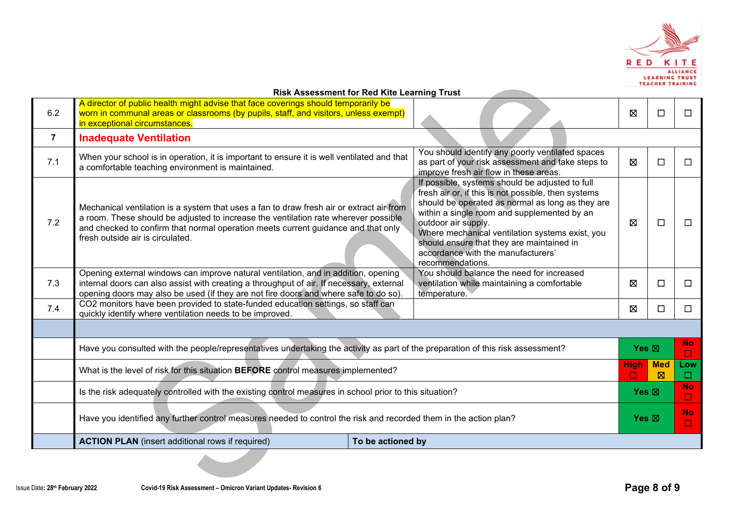

|                | <b>Risk Assessment for Red Kite Learning Trust</b>                                                                                                                                                                                                                                                       |  |                                                                                                                                                                                                                                                                                                                                                                                            |   |                 |                     |
|----------------|----------------------------------------------------------------------------------------------------------------------------------------------------------------------------------------------------------------------------------------------------------------------------------------------------------|--|--------------------------------------------------------------------------------------------------------------------------------------------------------------------------------------------------------------------------------------------------------------------------------------------------------------------------------------------------------------------------------------------|---|-----------------|---------------------|
| 6.2            | A director of public health might advise that face coverings should temporarily be<br>worn in communal areas or classrooms (by pupils, staff, and visitors, unless exempt)<br>in exceptional circumstances.                                                                                              |  |                                                                                                                                                                                                                                                                                                                                                                                            | Ø | □               | П                   |
| $\overline{7}$ | <b>Inadequate Ventilation</b>                                                                                                                                                                                                                                                                            |  |                                                                                                                                                                                                                                                                                                                                                                                            |   |                 |                     |
| 7.1            | When your school is in operation, it is important to ensure it is well ventilated and that<br>a comfortable teaching environment is maintained.                                                                                                                                                          |  | You should identify any poorly ventilated spaces<br>as part of your risk assessment and take steps to<br>improve fresh air flow in these areas.                                                                                                                                                                                                                                            | ⊠ | $\Box$          | П                   |
| 7.2            | Mechanical ventilation is a system that uses a fan to draw fresh air or extract air from<br>a room. These should be adjusted to increase the ventilation rate wherever possible<br>and checked to confirm that normal operation meets current guidance and that only<br>fresh outside air is circulated. |  | If possible, systems should be adjusted to full<br>fresh air or, if this is not possible, then systems<br>should be operated as normal as long as they are<br>within a single room and supplemented by an<br>outdoor air supply.<br>Where mechanical ventilation systems exist, you<br>should ensure that they are maintained in<br>accordance with the manufacturers'<br>recommendations. | ⊠ | □               | $\Box$              |
| 7.3            | Opening external windows can improve natural ventilation, and in addition, opening<br>internal doors can also assist with creating a throughput of air. If necessary, external<br>opening doors may also be used (if they are not fire doors and where safe to do so).                                   |  | You should balance the need for increased<br>ventilation while maintaining a comfortable<br>temperature.                                                                                                                                                                                                                                                                                   | ⊠ | □               | $\perp$             |
| 7.4            | CO2 monitors have been provided to state-funded education settings, so staff can<br>quickly identify where ventilation needs to be improved.                                                                                                                                                             |  |                                                                                                                                                                                                                                                                                                                                                                                            | ⊠ | □               | $\Box$              |
|                |                                                                                                                                                                                                                                                                                                          |  |                                                                                                                                                                                                                                                                                                                                                                                            |   |                 |                     |
|                | Have you consulted with the people/representatives undertaking the activity as part of the preparation of this risk assessment?                                                                                                                                                                          |  |                                                                                                                                                                                                                                                                                                                                                                                            |   |                 | <b>No</b><br>$\Box$ |
|                | What is the level of risk for this situation BEFORE control measures implemented?                                                                                                                                                                                                                        |  |                                                                                                                                                                                                                                                                                                                                                                                            |   | <b>Med</b><br>⊠ | Low<br>$\Box$       |
|                | Is the risk adequately controlled with the existing control measures in school prior to this situation?                                                                                                                                                                                                  |  |                                                                                                                                                                                                                                                                                                                                                                                            |   | Yes $\boxtimes$ | <b>No</b><br>$\Box$ |
|                | Have you identified any further control measures needed to control the risk and recorded them in the action plan?                                                                                                                                                                                        |  |                                                                                                                                                                                                                                                                                                                                                                                            |   | $Yes \boxtimes$ | <b>No</b><br>◘      |
|                | <b>ACTION PLAN</b> (insert additional rows if required)<br>To be actioned by                                                                                                                                                                                                                             |  |                                                                                                                                                                                                                                                                                                                                                                                            |   |                 |                     |